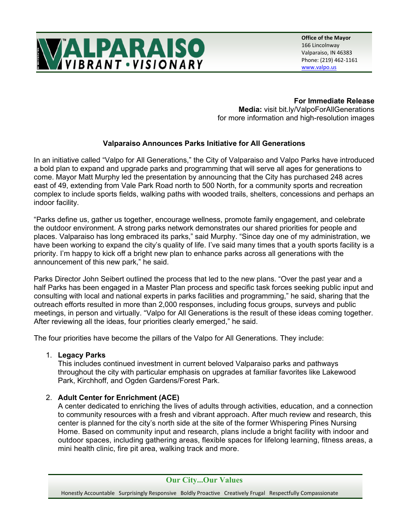

**Office of the Mayor** 166 Lincolnway Valparaiso, IN 46383 Phone: (219) 462-1161 [www.valpo.us](http://www.ci.valparaiso.in.us/)

## **For Immediate Release**

**Media:** visit bit.ly/ValpoForAllGenerations for more information and high-resolution images

## **Valparaiso Announces Parks Initiative for All Generations**

In an initiative called "Valpo for All Generations," the City of Valparaiso and Valpo Parks have introduced a bold plan to expand and upgrade parks and programming that will serve all ages for generations to come. Mayor Matt Murphy led the presentation by announcing that the City has purchased 248 acres east of 49, extending from Vale Park Road north to 500 North, for a community sports and recreation complex to include sports fields, walking paths with wooded trails, shelters, concessions and perhaps an indoor facility.

"Parks define us, gather us together, encourage wellness, promote family engagement, and celebrate the outdoor environment. A strong parks network demonstrates our shared priorities for people and places. Valparaiso has long embraced its parks," said Murphy. "Since day one of my administration, we have been working to expand the city's quality of life. I've said many times that a youth sports facility is a priority. I'm happy to kick off a bright new plan to enhance parks across all generations with the announcement of this new park," he said.

Parks Director John Seibert outlined the process that led to the new plans. "Over the past year and a half Parks has been engaged in a Master Plan process and specific task forces seeking public input and consulting with local and national experts in parks facilities and programming," he said, sharing that the outreach efforts resulted in more than 2,000 responses, including focus groups, surveys and public meetings, in person and virtually. "Valpo for All Generations is the result of these ideas coming together. After reviewing all the ideas, four priorities clearly emerged," he said.

The four priorities have become the pillars of the Valpo for All Generations. They include:

## 1. **Legacy Parks**

This includes continued investment in current beloved Valparaiso parks and pathways throughout the city with particular emphasis on upgrades at familiar favorites like Lakewood Park, Kirchhoff, and Ogden Gardens/Forest Park.

## 2. **Adult Center for Enrichment (ACE)**

A center dedicated to enriching the lives of adults through activities, education, and a connection to community resources with a fresh and vibrant approach. After much review and research, this center is planned for the city's north side at the site of the former Whispering Pines Nursing Home. Based on community input and research, plans include a bright facility with indoor and outdoor spaces, including gathering areas, flexible spaces for lifelong learning, fitness areas, a mini health clinic, fire pit area, walking track and more.

**Our City...Our Values**

Honestly Accountable Surprisingly Responsive Boldly Proactive Creatively Frugal Respectfully Compassionate